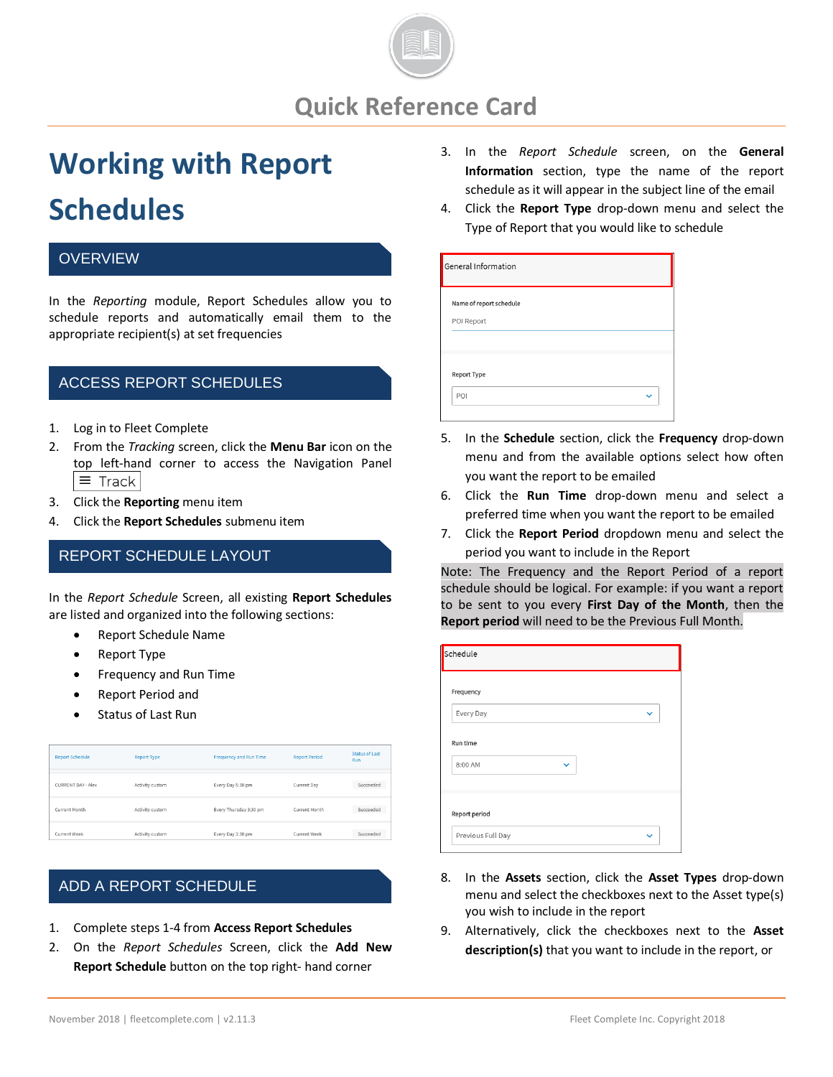

# **Working with Report Schedules**

#### **OVERVIEW**

In the *Reporting* module, Report Schedules allow you to schedule reports and automatically email them to the appropriate recipient(s) at set frequencies

#### ACCESS REPORT SCHEDULES

- 1. Log in to Fleet Complete
- 2. From the *Tracking* screen, click the **Menu Bar** icon on the top left-hand corner to access the Navigation Panel  $\equiv$  Track
- 3. Click the **Reporting** menu item
- 4. Click the **Report Schedules** submenu item

### REPORT SCHEDULE LAYOUT

In the *Report Schedule* Screen, all existing **Report Schedules** are listed and organized into the following sections:

- Report Schedule Name
- **Report Type**
- Frequency and Run Time
- Report Period and
- Status of Last Run

| <b>Report Schedule</b> | <b>Report Type</b> | <b>Frequency and Run Time</b> | <b>Report Period</b> | <b>Status of Last</b><br>Run |
|------------------------|--------------------|-------------------------------|----------------------|------------------------------|
| CURRENT DAY - Alex     | Activity custom    | Every Day 5:30 pm             | Current Day          | Succeeded                    |
| Current Month          | Activity custom    | Every Thursday 3:30 pm        | Current Month        | Succeeded                    |
| Current Week           | Activity custom    | Every Day 3:30 pm             | Current Week         | Succeeded                    |

# 1. Follow steps 1-4 from **Accessing Report Schedules** ADD A REPORT SCHEDULE

- 1. Complete steps 1-4 from **Access Report Schedules**
- 2. On the *Report Schedules* Screen, click the **Add New Report Schedule** button on the top right- hand corner
- 3. In the *Report Schedule* screen, on the **General Information** section, type the name of the report schedule as it will appear in the subject line of the email
- 4. Click the **Report Type** drop-down menu and select the Type of Report that you would like to schedule

| General Information     |  |
|-------------------------|--|
| Name of report schedule |  |
| POI Report              |  |
|                         |  |
|                         |  |
| <b>Report Type</b>      |  |
| POI                     |  |
|                         |  |

- 5. In the **Schedule** section, click the **Frequency** drop-down menu and from the available options select how often you want the report to be emailed
- 6. Click the **Run Time** drop-down menu and select a preferred time when you want the report to be emailed
- 7. Click the **Report Period** dropdown menu and select the period you want to include in the Report

Note: The Frequency and the Report Period of a report schedule should be logical. For example: if you want a report to be sent to you every **First Day of the Month**, then the **Report period** will need to be the Previous Full Month.

| Schedule                |              |
|-------------------------|--------------|
| Frequency               |              |
| Every Day               | $\checkmark$ |
| Run time                |              |
| 8:00 AM<br>$\checkmark$ |              |
|                         |              |
| Report period           |              |
| Previous Full Day       |              |

- 8. In the **Assets** section, click the **Asset Types** drop-down menu and select the checkboxes next to the Asset type(s) you wish to include in the report
- 9. Alternatively, click the checkboxes next to the **Asset description(s)** that you want to include in the report, or